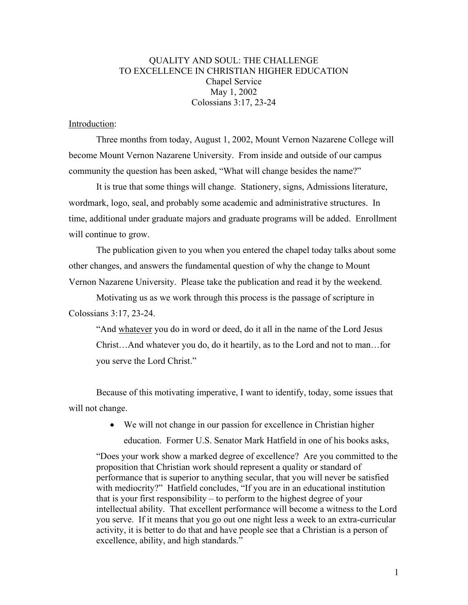## QUALITY AND SOUL: THE CHALLENGE TO EXCELLENCE IN CHRISTIAN HIGHER EDUCATION Chapel Service May 1, 2002 Colossians 3:17, 23-24

## Introduction:

Three months from today, August 1, 2002, Mount Vernon Nazarene College will become Mount Vernon Nazarene University. From inside and outside of our campus community the question has been asked, "What will change besides the name?"

It is true that some things will change. Stationery, signs, Admissions literature, wordmark, logo, seal, and probably some academic and administrative structures. In time, additional under graduate majors and graduate programs will be added. Enrollment will continue to grow.

The publication given to you when you entered the chapel today talks about some other changes, and answers the fundamental question of why the change to Mount Vernon Nazarene University. Please take the publication and read it by the weekend.

Motivating us as we work through this process is the passage of scripture in Colossians 3:17, 23-24.

"And whatever you do in word or deed, do it all in the name of the Lord Jesus Christ…And whatever you do, do it heartily, as to the Lord and not to man…for you serve the Lord Christ."

Because of this motivating imperative, I want to identify, today, some issues that will not change.

> • We will not change in our passion for excellence in Christian higher education. Former U.S. Senator Mark Hatfield in one of his books asks,

"Does your work show a marked degree of excellence? Are you committed to the proposition that Christian work should represent a quality or standard of performance that is superior to anything secular, that you will never be satisfied with mediocrity?" Hatfield concludes, "If you are in an educational institution that is your first responsibility – to perform to the highest degree of your intellectual ability. That excellent performance will become a witness to the Lord you serve. If it means that you go out one night less a week to an extra-curricular activity, it is better to do that and have people see that a Christian is a person of excellence, ability, and high standards."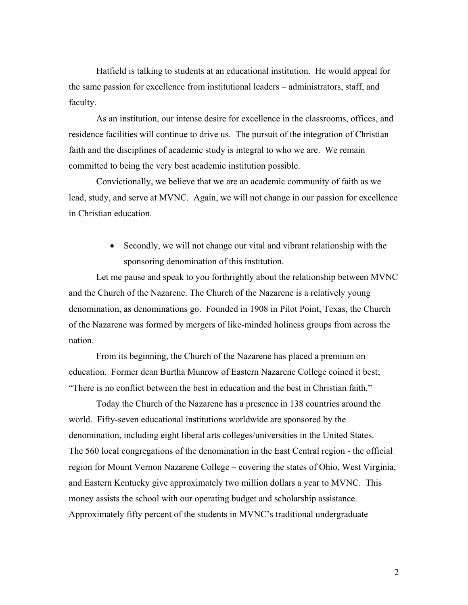Hatfield is talking to students at an educational institution. He would appeal for the same passion for excellence from institutional leaders – administrators, staff, and faculty.

As an institution, our intense desire for excellence in the classrooms, offices, and residence facilities will continue to drive us. The pursuit of the integration of Christian faith and the disciplines of academic study is integral to who we are. We remain committed to being the very best academic institution possible.

Convictionally, we believe that we are an academic community of faith as we lead, study, and serve at MVNC. Again, we will not change in our passion for excellence in Christian education.

> • Secondly, we will not change our vital and vibrant relationship with the sponsoring denomination of this institution.

Let me pause and speak to you forthrightly about the relationship between MVNC and the Church of the Nazarene. The Church of the Nazarene is a relatively young denomination, as denominations go. Founded in 1908 in Pilot Point, Texas, the Church of the Nazarene was formed by mergers of like-minded holiness groups from across the nation.

From its beginning, the Church of the Nazarene has placed a premium on education. Former dean Burtha Munrow of Eastern Nazarene College coined it best; "There is no conflict between the best in education and the best in Christian faith."

Today the Church of the Nazarene has a presence in 138 countries around the world. Fifty-seven educational institutions worldwide are sponsored by the denomination, including eight liberal arts colleges/universities in the United States. The 560 local congregations of the denomination in the East Central region - the official region for Mount Vernon Nazarene College – covering the states of Ohio, West Virginia, and Eastern Kentucky give approximately two million dollars a year to MVNC. This money assists the school with our operating budget and scholarship assistance. Approximately fifty percent of the students in MVNC's traditional undergraduate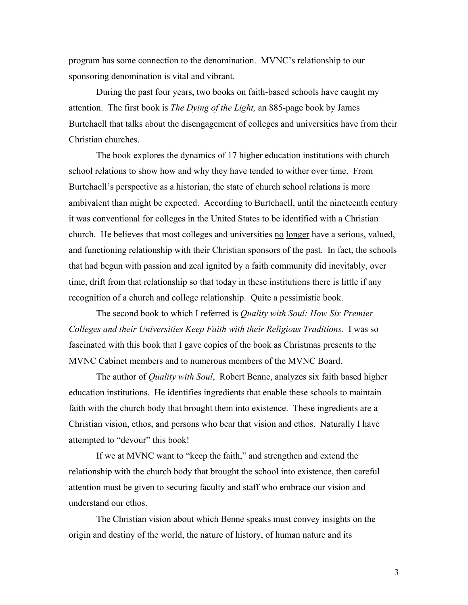program has some connection to the denomination. MVNC's relationship to our sponsoring denomination is vital and vibrant.

During the past four years, two books on faith-based schools have caught my attention. The first book is *The Dying of the Light,* an 885-page book by James Burtchaell that talks about the disengagement of colleges and universities have from their Christian churches.

The book explores the dynamics of 17 higher education institutions with church school relations to show how and why they have tended to wither over time. From Burtchaell's perspective as a historian, the state of church school relations is more ambivalent than might be expected. According to Burtchaell, until the nineteenth century it was conventional for colleges in the United States to be identified with a Christian church. He believes that most colleges and universities no longer have a serious, valued, and functioning relationship with their Christian sponsors of the past. In fact, the schools that had begun with passion and zeal ignited by a faith community did inevitably, over time, drift from that relationship so that today in these institutions there is little if any recognition of a church and college relationship. Quite a pessimistic book.

The second book to which I referred is *Quality with Soul: How Six Premier Colleges and their Universities Keep Faith with their Religious Traditions.* I was so fascinated with this book that I gave copies of the book as Christmas presents to the MVNC Cabinet members and to numerous members of the MVNC Board.

The author of *Quality with Soul*, Robert Benne, analyzes six faith based higher education institutions. He identifies ingredients that enable these schools to maintain faith with the church body that brought them into existence. These ingredients are a Christian vision, ethos, and persons who bear that vision and ethos. Naturally I have attempted to "devour" this book!

If we at MVNC want to "keep the faith," and strengthen and extend the relationship with the church body that brought the school into existence, then careful attention must be given to securing faculty and staff who embrace our vision and understand our ethos.

The Christian vision about which Benne speaks must convey insights on the origin and destiny of the world, the nature of history, of human nature and its

3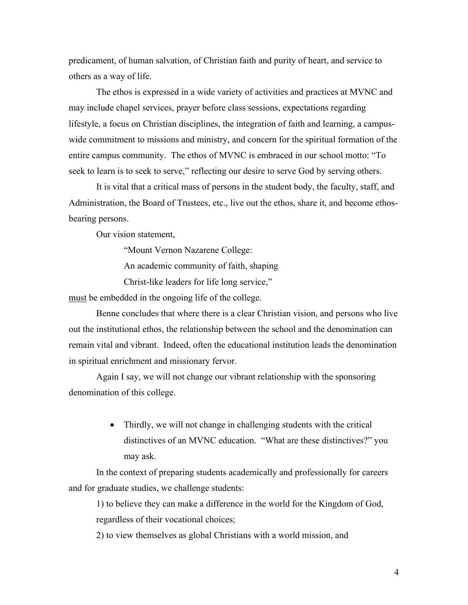predicament, of human salvation, of Christian faith and purity of heart, and service to others as a way of life.

The ethos is expressed in a wide variety of activities and practices at MVNC and may include chapel services, prayer before class sessions, expectations regarding lifestyle, a focus on Christian disciplines, the integration of faith and learning, a campuswide commitment to missions and ministry, and concern for the spiritual formation of the entire campus community. The ethos of MVNC is embraced in our school motto: "To seek to learn is to seek to serve," reflecting our desire to serve God by serving others.

It is vital that a critical mass of persons in the student body, the faculty, staff, and Administration, the Board of Trustees, etc., live out the ethos, share it, and become ethosbearing persons.

Our vision statement,

"Mount Vernon Nazarene College:

An academic community of faith, shaping

Christ-like leaders for life long service,"

must be embedded in the ongoing life of the college.

Benne concludes that where there is a clear Christian vision, and persons who live out the institutional ethos, the relationship between the school and the denomination can remain vital and vibrant. Indeed, often the educational institution leads the denomination in spiritual enrichment and missionary fervor.

Again I say, we will not change our vibrant relationship with the sponsoring denomination of this college.

> • Thirdly, we will not change in challenging students with the critical distinctives of an MVNC education. "What are these distinctives?" you may ask.

In the context of preparing students academically and professionally for careers and for graduate studies, we challenge students:

1) to believe they can make a difference in the world for the Kingdom of God, regardless of their vocational choices;

2) to view themselves as global Christians with a world mission, and

4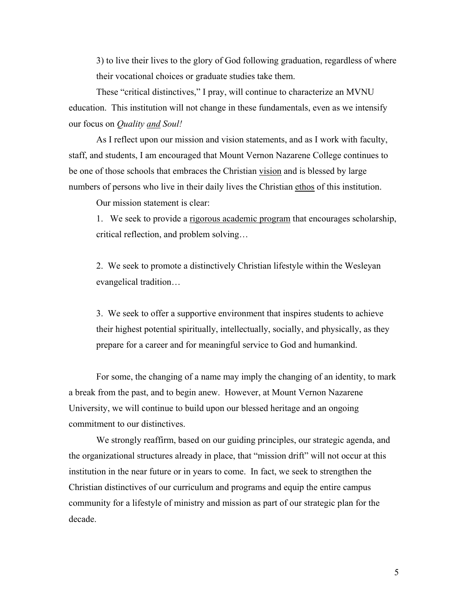3) to live their lives to the glory of God following graduation, regardless of where their vocational choices or graduate studies take them.

These "critical distinctives," I pray, will continue to characterize an MVNU education. This institution will not change in these fundamentals, even as we intensify our focus on *Quality and Soul!*

As I reflect upon our mission and vision statements, and as I work with faculty, staff, and students, I am encouraged that Mount Vernon Nazarene College continues to be one of those schools that embraces the Christian vision and is blessed by large numbers of persons who live in their daily lives the Christian ethos of this institution.

Our mission statement is clear:

1. We seek to provide a rigorous academic program that encourages scholarship, critical reflection, and problem solving…

2. We seek to promote a distinctively Christian lifestyle within the Wesleyan evangelical tradition…

3. We seek to offer a supportive environment that inspires students to achieve their highest potential spiritually, intellectually, socially, and physically, as they prepare for a career and for meaningful service to God and humankind.

For some, the changing of a name may imply the changing of an identity, to mark a break from the past, and to begin anew. However, at Mount Vernon Nazarene University, we will continue to build upon our blessed heritage and an ongoing commitment to our distinctives.

We strongly reaffirm, based on our guiding principles, our strategic agenda, and the organizational structures already in place, that "mission drift" will not occur at this institution in the near future or in years to come. In fact, we seek to strengthen the Christian distinctives of our curriculum and programs and equip the entire campus community for a lifestyle of ministry and mission as part of our strategic plan for the decade.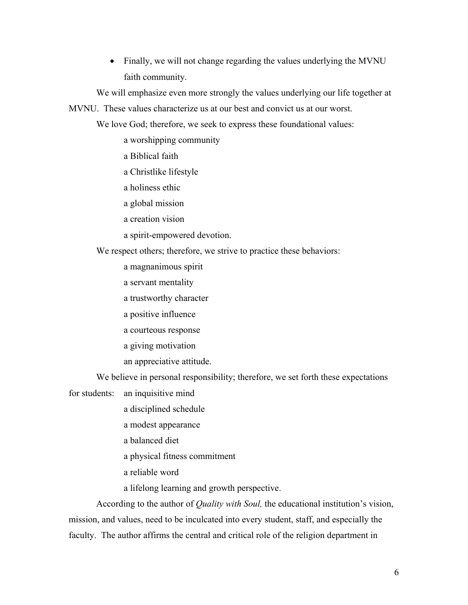• Finally, we will not change regarding the values underlying the MVNU faith community.

We will emphasize even more strongly the values underlying our life together at

MVNU. These values characterize us at our best and convict us at our worst.

We love God; therefore, we seek to express these foundational values:

- a worshipping community
- a Biblical faith
- a Christlike lifestyle
- a holiness ethic
- a global mission
- a creation vision
- a spirit-empowered devotion.

We respect others; therefore, we strive to practice these behaviors:

- a magnanimous spirit
- a servant mentality
- a trustworthy character
- a positive influence
- a courteous response
- a giving motivation
- an appreciative attitude.

We believe in personal responsibility; therefore, we set forth these expectations

for students: an inquisitive mind

- a disciplined schedule
- a modest appearance
- a balanced diet
- a physical fitness commitment
- a reliable word
- a lifelong learning and growth perspective.

According to the author of *Quality with Soul,* the educational institution's vision, mission, and values, need to be inculcated into every student, staff, and especially the faculty. The author affirms the central and critical role of the religion department in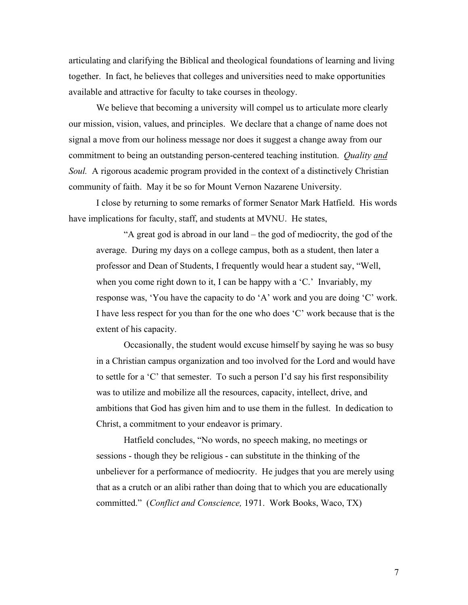articulating and clarifying the Biblical and theological foundations of learning and living together. In fact, he believes that colleges and universities need to make opportunities available and attractive for faculty to take courses in theology.

We believe that becoming a university will compel us to articulate more clearly our mission, vision, values, and principles. We declare that a change of name does not signal a move from our holiness message nor does it suggest a change away from our commitment to being an outstanding person-centered teaching institution. *Quality and Soul.* A rigorous academic program provided in the context of a distinctively Christian community of faith. May it be so for Mount Vernon Nazarene University.

I close by returning to some remarks of former Senator Mark Hatfield. His words have implications for faculty, staff, and students at MVNU. He states,

"A great god is abroad in our land – the god of mediocrity, the god of the average. During my days on a college campus, both as a student, then later a professor and Dean of Students, I frequently would hear a student say, "Well, when you come right down to it, I can be happy with a 'C.' Invariably, my response was, 'You have the capacity to do 'A' work and you are doing 'C' work. I have less respect for you than for the one who does 'C' work because that is the extent of his capacity.

Occasionally, the student would excuse himself by saying he was so busy in a Christian campus organization and too involved for the Lord and would have to settle for a 'C' that semester. To such a person I'd say his first responsibility was to utilize and mobilize all the resources, capacity, intellect, drive, and ambitions that God has given him and to use them in the fullest. In dedication to Christ, a commitment to your endeavor is primary.

Hatfield concludes, "No words, no speech making, no meetings or sessions - though they be religious - can substitute in the thinking of the unbeliever for a performance of mediocrity. He judges that you are merely using that as a crutch or an alibi rather than doing that to which you are educationally committed." (*Conflict and Conscience,* 1971. Work Books, Waco, TX)

7